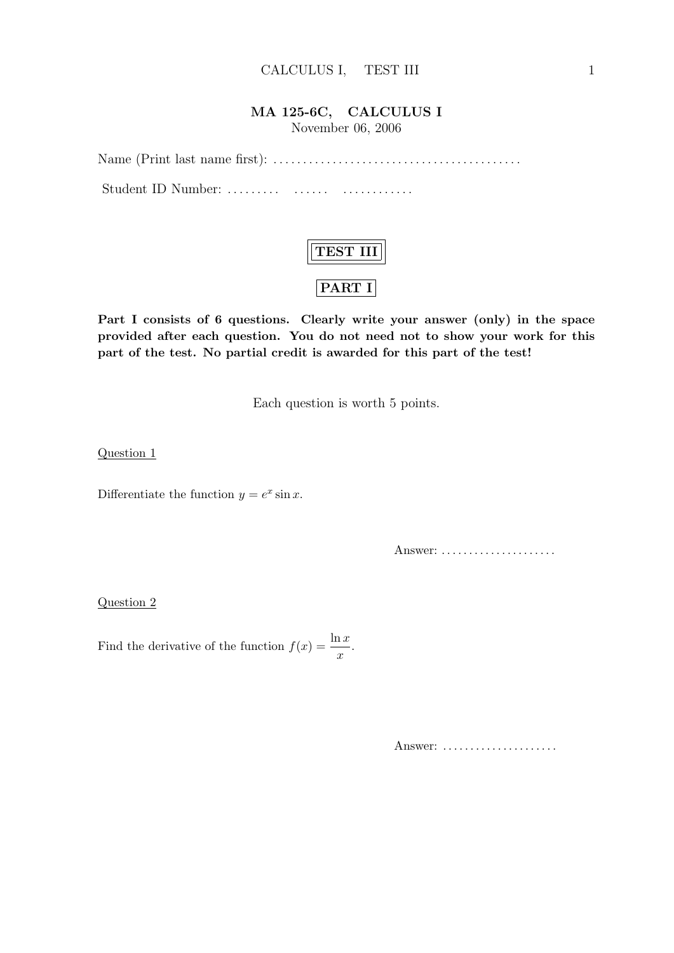### MA 125-6C, CALCULUS I

November 06, 2006

Name (Print last name first): . . . . . . . . . . . . . . . . . . . . . . . . . . . . . . . . . . . . . . . . . . Student ID Number: ......... ....... ...............



Part I consists of 6 questions. Clearly write your answer (only) in the space provided after each question. You do not need not to show your work for this part of the test. No partial credit is awarded for this part of the test!

Each question is worth 5 points.

Question 1

Differentiate the function  $y = e^x \sin x$ .

Answer: .......................

Question 2

Find the derivative of the function  $f(x) = \frac{\ln x}{x}$ .

Answer: ......................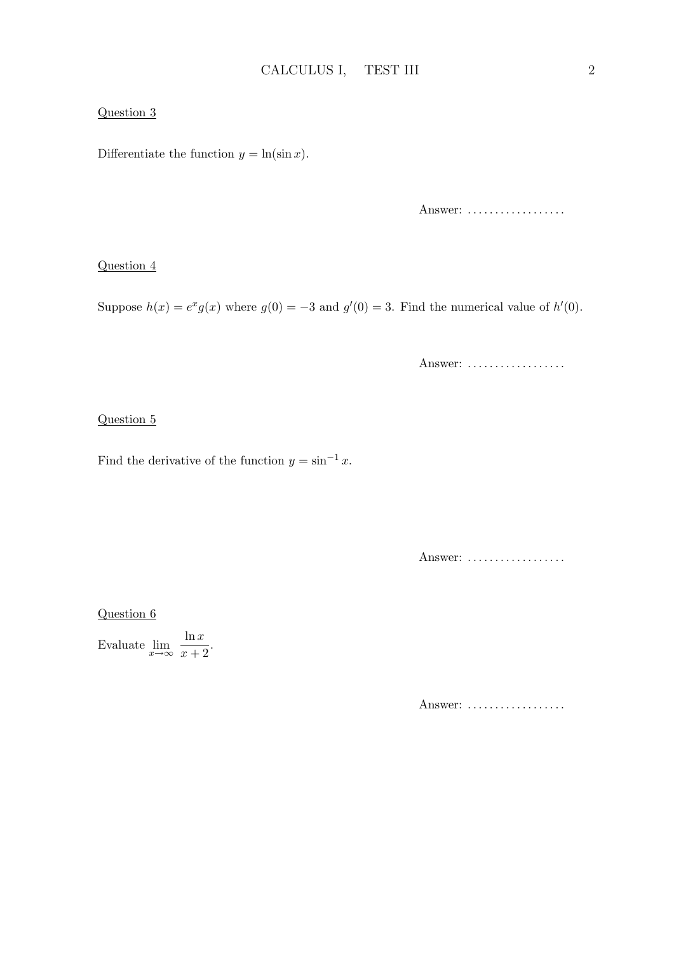### Question 3

Differentiate the function  $y = \ln(\sin x)$ .

Answer: ..................

#### Question 4

Suppose  $h(x) = e^x g(x)$  where  $g(0) = -3$  and  $g'(0) = 3$ . Find the numerical value of  $h'(0)$ .

Answer: ..................

#### Question 5

Find the derivative of the function  $y = \sin^{-1} x$ .

Answer: ..................

Question 6

Evaluate  $\lim_{x \to \infty} \frac{\ln x}{x + 1}$  $\frac{m}{x+2}$ .

Answer: ..................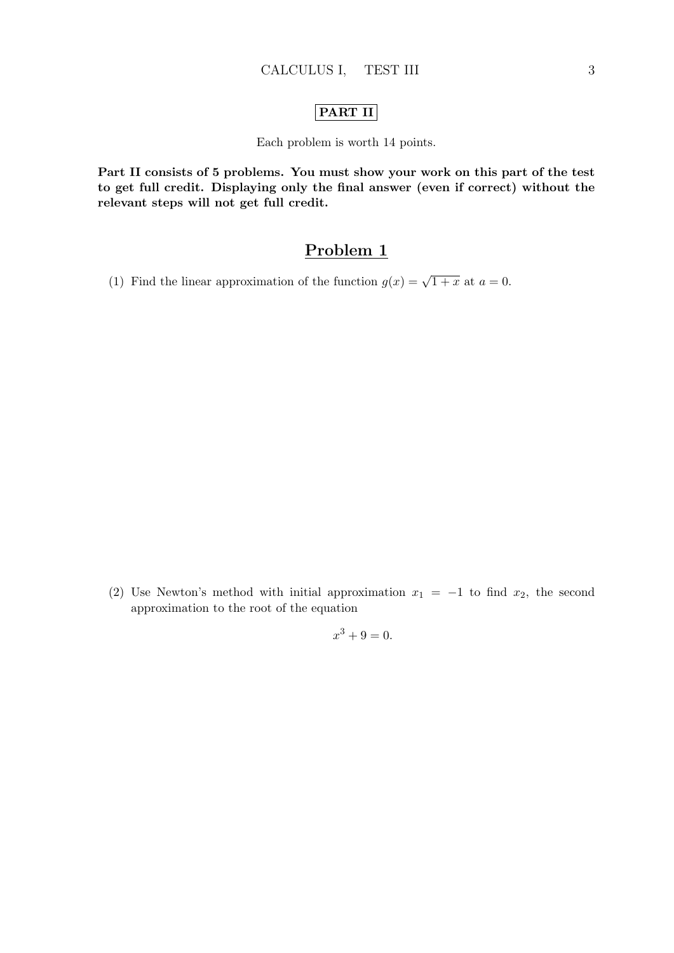### PART II

Each problem is worth 14 points.

Part II consists of 5 problems. You must show your work on this part of the test to get full credit. Displaying only the final answer (even if correct) without the relevant steps will not get full credit.

## Problem 1

(1) Find the linear approximation of the function  $g(x) = \sqrt{1+x}$  at  $a = 0$ .

(2) Use Newton's method with initial approximation  $x_1 = -1$  to find  $x_2$ , the second approximation to the root of the equation

 $x^3 + 9 = 0.$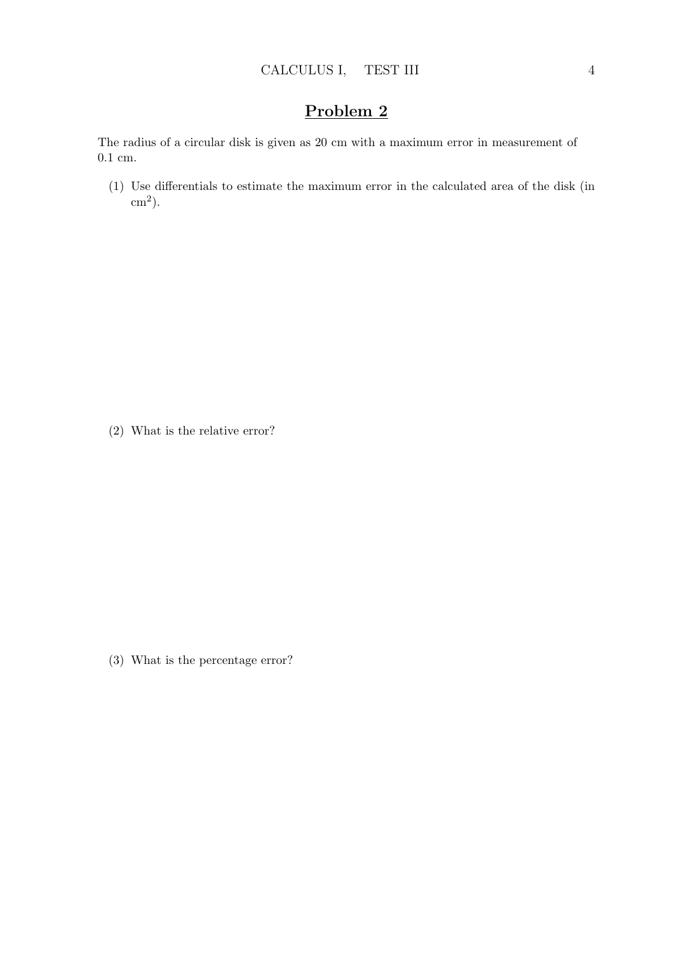The radius of a circular disk is given as 20 cm with a maximum error in measurement of 0.1 cm.

(1) Use differentials to estimate the maximum error in the calculated area of the disk (in  $\text{cm}^2$ ).

(2) What is the relative error?

(3) What is the percentage error?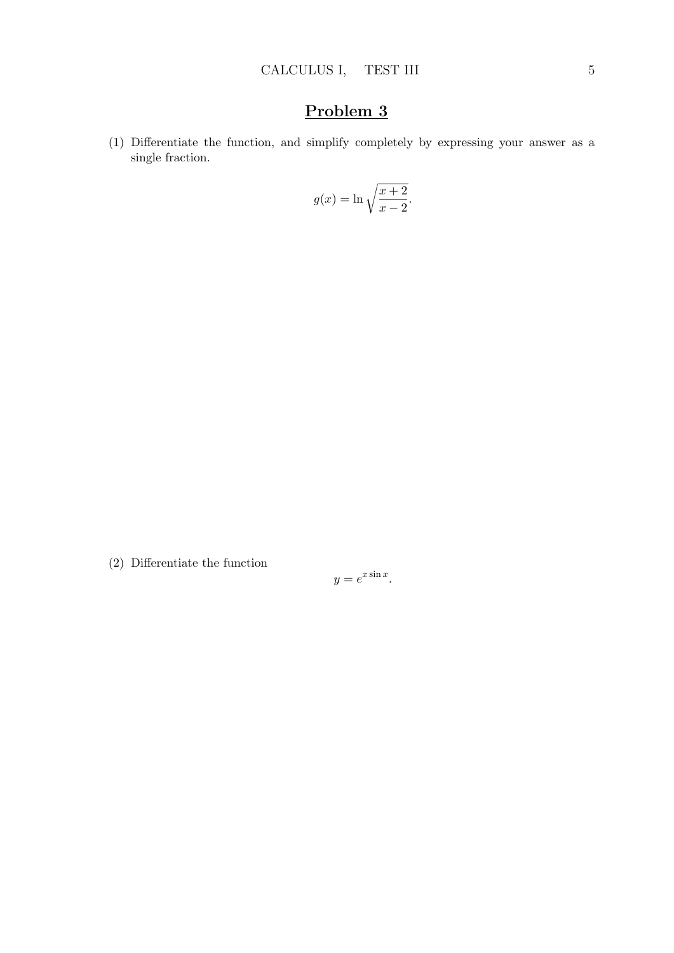(1) Differentiate the function, and simplify completely by expressing your answer as a single fraction.

$$
g(x) = \ln \sqrt{\frac{x+2}{x-2}}.
$$

(2) Differentiate the function

$$
y = e^{x \sin x}.
$$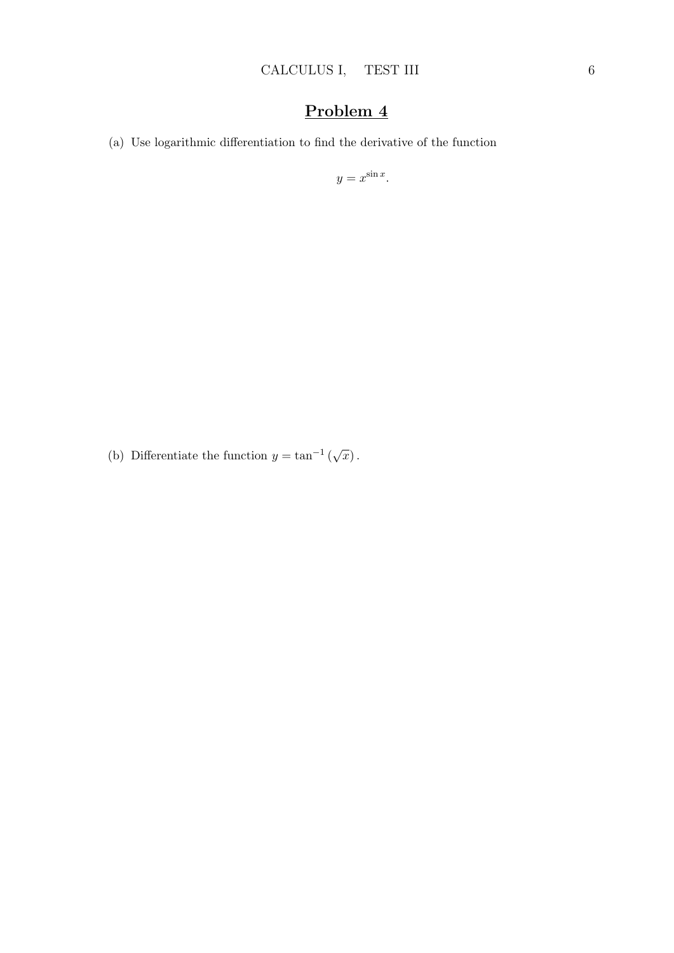(a) Use logarithmic differentiation to find the derivative of the function

 $y = x^{\sin x}$ .

(b) Differentiate the function  $y = \tan^{-1}(\sqrt{x})$ .